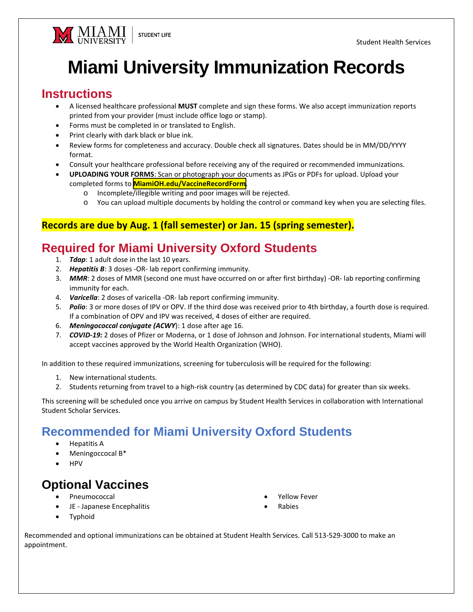

## **Miami University Immunization Records** Miami University Immunization Records

## **Instructions**  Instructions

- A licensed healthcare professional **MUST** complete and sign these forms. We also accept immunization reports printed from your provider (must include office logo or stamp).
- Forms must be completed in or translated to English.
- Print clearly with dark black or blue ink.
- Review forms for completeness and accuracy. Double check all signatures. Dates should be in MM/DD/YYYY format.
- Consult your healthcare professional before receiving any of the required or recommended immunizations.
- **UPLOADING YOUR FORMS**: Scan or photograph your documents as JPGs or PDFs for upload. Upload your completed forms to <mark>[MiamiOH.edu/VaccineRecordForm](https://miamioh.teamdynamix.com/TDClient/2519/AbsenceReporting/Requests/TicketRequests/NewForm?ID=wPnlbe0N2q0_&RequestorType=ServiceOffering)</mark>.
	- o Incomplete/illegible writing and poor images will be rejected.
	- o You can upload multiple documents by holding the control or command key when you are selecting files.

#### **Records are due by Aug. 1 (fall semester) or Jan. 15 (spring semester).**

### **Required for Miami University Oxford Students**  Required for Miami University Oxford Students

- 1. *Tdap*: 1 adult dose in the last 10 years.
- 2. *Hepatitis B*: 3 doses -OR- lab report confirming immunity.
- 3. *MMR*: 2 doses of MMR (second one must have occurred on or after first birthday) -OR- lab reporting confirming immunity for each.
- 4. *Varicella*: 2 doses of varicella -OR- lab report confirming immunity.
- 5. *Polio*: 3 or more doses of IPV or OPV. If the third dose was received prior to 4th birthday, a fourth dose is required. If a combination of OPV and IPV was received, 4 doses of either are required.
- 6. *Meningococcal conjugate (ACWY*): 1 dose after age 16.
- 7. *COVID-19:* 2 doses of Pfizer or Moderna, or 1 dose of Johnson and Johnson. For international students, Miami will accept vaccines approved by the World Health Organization (WHO).

In addition to these required immunizations, screening for tuberculosis will be required for the following:

- 1. New international students.
- 2. Students returning from travel to a high-risk country (as determined by CDC data) for greater than six weeks.

This screening will be scheduled once you arrive on campus by Student Health Services in collaboration with International Student Scholar Services.

## Recommended for Miami University Oxford Students

- Hepatitis A
- Meningoccocal B\*
- HPV

## **Optional Vaccines**  Optional Vaccines

- Pneumococcal
- JE Japanese Encephalitis
- Yellow Fever
- Rabies

Typhoid

Recommended and optional immunizations can be obtained at Student Health Services. Call 513-529-3000 to make an appointment.